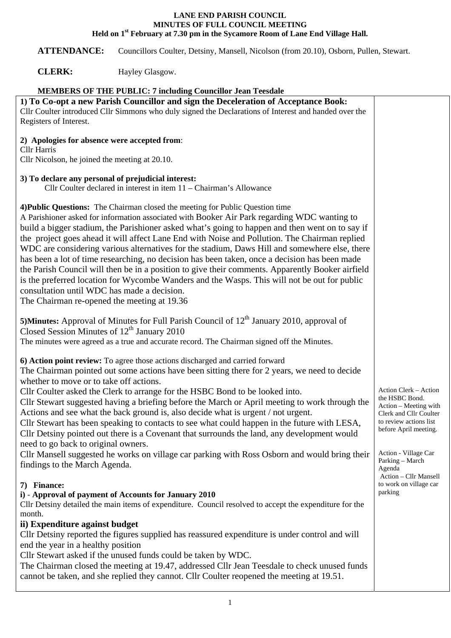## **LANE END PARISH COUNCIL MINUTES OF FULL COUNCIL MEETING Held on 1st February at 7.30 pm in the Sycamore Room of Lane End Village Hall.**

**ATTENDANCE:** Councillors Coulter, Detsiny, Mansell, Nicolson (from 20.10), Osborn, Pullen, Stewart.

**CLERK:** Hayley Glasgow.

| <b>MEMBERS OF THE PUBLIC: 7 including Councillor Jean Teesdale</b>                                                                                                                                                                                                                                                                                                                                                                                                                                                                                                                                                                                                                                                                                                                                                                                                                    |                                                                                                                                                                                                    |  |
|---------------------------------------------------------------------------------------------------------------------------------------------------------------------------------------------------------------------------------------------------------------------------------------------------------------------------------------------------------------------------------------------------------------------------------------------------------------------------------------------------------------------------------------------------------------------------------------------------------------------------------------------------------------------------------------------------------------------------------------------------------------------------------------------------------------------------------------------------------------------------------------|----------------------------------------------------------------------------------------------------------------------------------------------------------------------------------------------------|--|
| 1) To Co-opt a new Parish Councillor and sign the Deceleration of Acceptance Book:<br>Cllr Coulter introduced Cllr Simmons who duly signed the Declarations of Interest and handed over the<br>Registers of Interest.                                                                                                                                                                                                                                                                                                                                                                                                                                                                                                                                                                                                                                                                 |                                                                                                                                                                                                    |  |
| 2) Apologies for absence were accepted from:<br><b>Cllr</b> Harris<br>Cllr Nicolson, he joined the meeting at 20.10.                                                                                                                                                                                                                                                                                                                                                                                                                                                                                                                                                                                                                                                                                                                                                                  |                                                                                                                                                                                                    |  |
| 3) To declare any personal of prejudicial interest:<br>Cllr Coulter declared in interest in item 11 – Chairman's Allowance                                                                                                                                                                                                                                                                                                                                                                                                                                                                                                                                                                                                                                                                                                                                                            |                                                                                                                                                                                                    |  |
| 4) Public Questions: The Chairman closed the meeting for Public Question time<br>A Parishioner asked for information associated with Booker Air Park regarding WDC wanting to<br>build a bigger stadium, the Parishioner asked what's going to happen and then went on to say if<br>the project goes ahead it will affect Lane End with Noise and Pollution. The Chairman replied<br>WDC are considering various alternatives for the stadium, Daws Hill and somewhere else, there<br>has been a lot of time researching, no decision has been taken, once a decision has been made<br>the Parish Council will then be in a position to give their comments. Apparently Booker airfield<br>is the preferred location for Wycombe Wanders and the Wasps. This will not be out for public<br>consultation until WDC has made a decision.<br>The Chairman re-opened the meeting at 19.36 |                                                                                                                                                                                                    |  |
| <b>5)Minutes:</b> Approval of Minutes for Full Parish Council of $12th$ January 2010, approval of<br>Closed Session Minutes of 12 <sup>th</sup> January 2010<br>The minutes were agreed as a true and accurate record. The Chairman signed off the Minutes.                                                                                                                                                                                                                                                                                                                                                                                                                                                                                                                                                                                                                           |                                                                                                                                                                                                    |  |
| 6) Action point review: To agree those actions discharged and carried forward<br>The Chairman pointed out some actions have been sitting there for 2 years, we need to decide<br>whether to move or to take off actions.<br>Cllr Coulter asked the Clerk to arrange for the HSBC Bond to be looked into.<br>Cllr Stewart suggested having a briefing before the March or April meeting to work through the<br>Actions and see what the back ground is, also decide what is urgent / not urgent.<br>Cllr Stewart has been speaking to contacts to see what could happen in the future with LESA,<br>Cllr Detsiny pointed out there is a Covenant that surrounds the land, any development would<br>need to go back to original owners.<br>Cllr Mansell suggested he works on village car parking with Ross Osborn and would bring their<br>findings to the March Agenda.               | Action Clerk - Action<br>the HSBC Bond.<br>Action - Meeting with<br>Clerk and Cllr Coulter<br>to review actions list<br>before April meeting.<br>Action - Village Car<br>Parking – March<br>Agenda |  |
| 7) Finance:<br>i) - Approval of payment of Accounts for January 2010<br>Cllr Detsiny detailed the main items of expenditure. Council resolved to accept the expenditure for the<br>month.<br>ii) Expenditure against budget<br>Cllr Detsiny reported the figures supplied has reassured expenditure is under control and will<br>end the year in a healthy position<br>Cllr Stewart asked if the unused funds could be taken by WDC.<br>The Chairman closed the meeting at 19.47, addressed Cllr Jean Teesdale to check unused funds<br>cannot be taken, and she replied they cannot. Cllr Coulter reopened the meeting at 19.51.                                                                                                                                                                                                                                                     | Action - Cllr Mansell<br>to work on village car<br>parking                                                                                                                                         |  |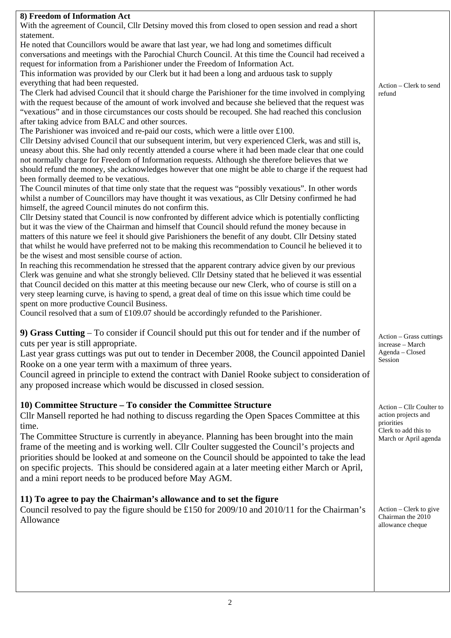| 8) Freedom of Information Act<br>With the agreement of Council, Cllr Detsiny moved this from closed to open session and read a short |                                   |
|--------------------------------------------------------------------------------------------------------------------------------------|-----------------------------------|
| statement.                                                                                                                           |                                   |
| He noted that Councillors would be aware that last year, we had long and sometimes difficult                                         |                                   |
| conversations and meetings with the Parochial Church Council. At this time the Council had received a                                |                                   |
| request for information from a Parishioner under the Freedom of Information Act.                                                     |                                   |
| This information was provided by our Clerk but it had been a long and arduous task to supply                                         |                                   |
| everything that had been requested.                                                                                                  | Action – Clerk to send            |
| The Clerk had advised Council that it should charge the Parishioner for the time involved in complying                               | refund                            |
| with the request because of the amount of work involved and because she believed that the request was                                |                                   |
| "vexatious" and in those circumstances our costs should be recouped. She had reached this conclusion                                 |                                   |
| after taking advice from BALC and other sources.                                                                                     |                                   |
| The Parishioner was invoiced and re-paid our costs, which were a little over £100.                                                   |                                   |
| Cllr Detsiny advised Council that our subsequent interim, but very experienced Clerk, was and still is,                              |                                   |
| uneasy about this. She had only recently attended a course where it had been made clear that one could                               |                                   |
| not normally charge for Freedom of Information requests. Although she therefore believes that we                                     |                                   |
| should refund the money, she acknowledges however that one might be able to charge if the request had                                |                                   |
| been formally deemed to be vexatious.                                                                                                |                                   |
| The Council minutes of that time only state that the request was "possibly vexatious". In other words                                |                                   |
| whilst a number of Councillors may have thought it was vexatious, as Cllr Detsiny confirmed he had                                   |                                   |
| himself, the agreed Council minutes do not confirm this.                                                                             |                                   |
| Cllr Detsiny stated that Council is now confronted by different advice which is potentially conflicting                              |                                   |
| but it was the view of the Chairman and himself that Council should refund the money because in                                      |                                   |
| matters of this nature we feel it should give Parishioners the benefit of any doubt. Cllr Detsiny stated                             |                                   |
| that whilst he would have preferred not to be making this recommendation to Council he believed it to                                |                                   |
| be the wisest and most sensible course of action.                                                                                    |                                   |
| In reaching this recommendation he stressed that the apparent contrary advice given by our previous                                  |                                   |
| Clerk was genuine and what she strongly believed. Cllr Detsiny stated that he believed it was essential                              |                                   |
| that Council decided on this matter at this meeting because our new Clerk, who of course is still on a                               |                                   |
| very steep learning curve, is having to spend, a great deal of time on this issue which time could be                                |                                   |
| spent on more productive Council Business.                                                                                           |                                   |
| Council resolved that a sum of $£109.07$ should be accordingly refunded to the Parishioner.                                          |                                   |
|                                                                                                                                      |                                   |
| 9) Grass Cutting – To consider if Council should put this out for tender and if the number of                                        | Action - Grass cuttings           |
| cuts per year is still appropriate.                                                                                                  | increase – March                  |
| Last year grass cuttings was put out to tender in December 2008, the Council appointed Daniel                                        | Agenda - Closed                   |
| Rooke on a one year term with a maximum of three years.                                                                              | Session                           |
| Council agreed in principle to extend the contract with Daniel Rooke subject to consideration of                                     |                                   |
|                                                                                                                                      |                                   |
| any proposed increase which would be discussed in closed session.                                                                    |                                   |
|                                                                                                                                      |                                   |
| 10) Committee Structure – To consider the Committee Structure                                                                        | Action - Cllr Coulter to          |
| Cllr Mansell reported he had nothing to discuss regarding the Open Spaces Committee at this                                          | action projects and<br>priorities |
| time.                                                                                                                                | Clerk to add this to              |
| The Committee Structure is currently in abeyance. Planning has been brought into the main                                            | March or April agenda             |
| frame of the meeting and is working well. Cllr Coulter suggested the Council's projects and                                          |                                   |
| priorities should be looked at and someone on the Council should be appointed to take the lead                                       |                                   |
| on specific projects. This should be considered again at a later meeting either March or April,                                      |                                   |
| and a mini report needs to be produced before May AGM.                                                                               |                                   |
|                                                                                                                                      |                                   |
| 11) To agree to pay the Chairman's allowance and to set the figure                                                                   |                                   |
| Council resolved to pay the figure should be £150 for 2009/10 and 2010/11 for the Chairman's                                         | Action – Clerk to give            |
|                                                                                                                                      | Chairman the 2010                 |
| Allowance                                                                                                                            | allowance cheque                  |
|                                                                                                                                      |                                   |
|                                                                                                                                      |                                   |
|                                                                                                                                      |                                   |
|                                                                                                                                      |                                   |
|                                                                                                                                      |                                   |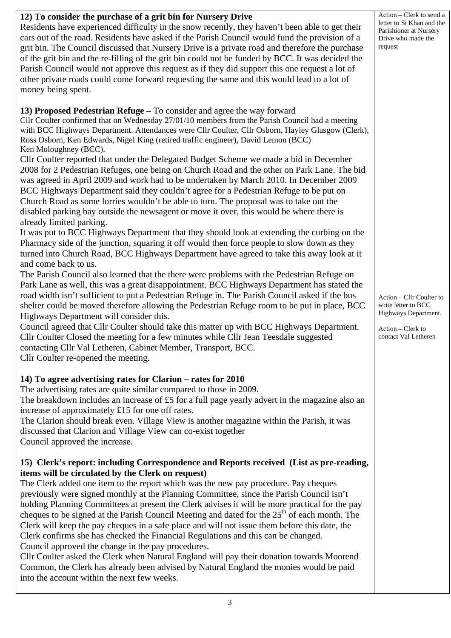| 12) To consider the purchase of a grit bin for Nursery Drive<br>Residents have experienced difficulty in the snow recently, they haven't been able to get their<br>cars out of the road. Residents have asked if the Parish Council would fund the provision of a<br>grit bin. The Council discussed that Nursery Drive is a private road and therefore the purchase<br>of the grit bin and the re-filling of the grit bin could not be funded by BCC. It was decided the<br>Parish Council would not approve this request as if they did support this one request a lot of<br>other private roads could come forward requesting the same and this would lead to a lot of<br>money being spent.                                                                                                                                                                                                                                                                                                                                                                                                                                                                                                                                                                                                                                                                                                                                                                                                                                                                                                                                                                                                                                                                                                                                                                                                                                                                                                                                                      | Action - Clerk to send a<br>letter to Si Khan and the<br>Parishioner at Nursery<br>Drive who made the<br>request     |
|------------------------------------------------------------------------------------------------------------------------------------------------------------------------------------------------------------------------------------------------------------------------------------------------------------------------------------------------------------------------------------------------------------------------------------------------------------------------------------------------------------------------------------------------------------------------------------------------------------------------------------------------------------------------------------------------------------------------------------------------------------------------------------------------------------------------------------------------------------------------------------------------------------------------------------------------------------------------------------------------------------------------------------------------------------------------------------------------------------------------------------------------------------------------------------------------------------------------------------------------------------------------------------------------------------------------------------------------------------------------------------------------------------------------------------------------------------------------------------------------------------------------------------------------------------------------------------------------------------------------------------------------------------------------------------------------------------------------------------------------------------------------------------------------------------------------------------------------------------------------------------------------------------------------------------------------------------------------------------------------------------------------------------------------------|----------------------------------------------------------------------------------------------------------------------|
| 13) Proposed Pedestrian Refuge – To consider and agree the way forward<br>Cllr Coulter confirmed that on Wednesday 27/01/10 members from the Parish Council had a meeting<br>with BCC Highways Department. Attendances were Cllr Coulter, Cllr Osborn, Hayley Glasgow (Clerk),<br>Ross Osborn, Ken Edwards, Nigel King (retired traffic engineer), David Lemon (BCC)<br>Ken Moloughney (BCC).<br>Cllr Coulter reported that under the Delegated Budget Scheme we made a bid in December<br>2008 for 2 Pedestrian Refuges, one being on Church Road and the other on Park Lane. The bid<br>was agreed in April 2009 and work had to be undertaken by March 2010. In December 2009<br>BCC Highways Department said they couldn't agree for a Pedestrian Refuge to be put on<br>Church Road as some lorries wouldn't be able to turn. The proposal was to take out the<br>disabled parking bay outside the newsagent or move it over, this would be where there is<br>already limited parking.<br>It was put to BCC Highways Department that they should look at extending the curbing on the<br>Pharmacy side of the junction, squaring it off would then force people to slow down as they<br>turned into Church Road, BCC Highways Department have agreed to take this away look at it<br>and come back to us.<br>The Parish Council also learned that the there were problems with the Pedestrian Refuge on<br>Park Lane as well, this was a great disappointment. BCC Highways Department has stated the<br>road width isn't sufficient to put a Pedestrian Refuge in. The Parish Council asked if the bus<br>shelter could be moved therefore allowing the Pedestrian Refuge room to be put in place, BCC<br>Highways Department will consider this.<br>Council agreed that Cllr Coulter should take this matter up with BCC Highways Department.<br>Cllr Coulter Closed the meeting for a few minutes while Cllr Jean Teesdale suggested<br>contacting Cllr Val Letheren, Cabinet Member, Transport, BCC.<br>Cllr Coulter re-opened the meeting. | Action - Cllr Coulter to<br>write letter to BCC<br>Highways Department.<br>Action - Clerk to<br>contact Val Letheren |
| 14) To agree advertising rates for Clarion – rates for 2010<br>The advertising rates are quite similar compared to those in 2009.<br>The breakdown includes an increase of £5 for a full page yearly advert in the magazine also an<br>increase of approximately £15 for one off rates.<br>The Clarion should break even. Village View is another magazine within the Parish, it was<br>discussed that Clarion and Village View can co-exist together<br>Council approved the increase.<br>15) Clerk's report: including Correspondence and Reports received (List as pre-reading,<br>items will be circulated by the Clerk on request)<br>The Clerk added one item to the report which was the new pay procedure. Pay cheques<br>previously were signed monthly at the Planning Committee, since the Parish Council isn't<br>holding Planning Committees at present the Clerk advises it will be more practical for the pay<br>cheques to be signed at the Parish Council Meeting and dated for the 25 <sup>th</sup> of each month. The<br>Clerk will keep the pay cheques in a safe place and will not issue them before this date, the<br>Clerk confirms she has checked the Financial Regulations and this can be changed.<br>Council approved the change in the pay procedures.<br>Cllr Coulter asked the Clerk when Natural England will pay their donation towards Moorend                                                                                                                                                                                                                                                                                                                                                                                                                                                                                                                                                                                                                                                                    |                                                                                                                      |

Common, the Clerk has already been advised by Natural England the monies would be paid into the account within the next few weeks.